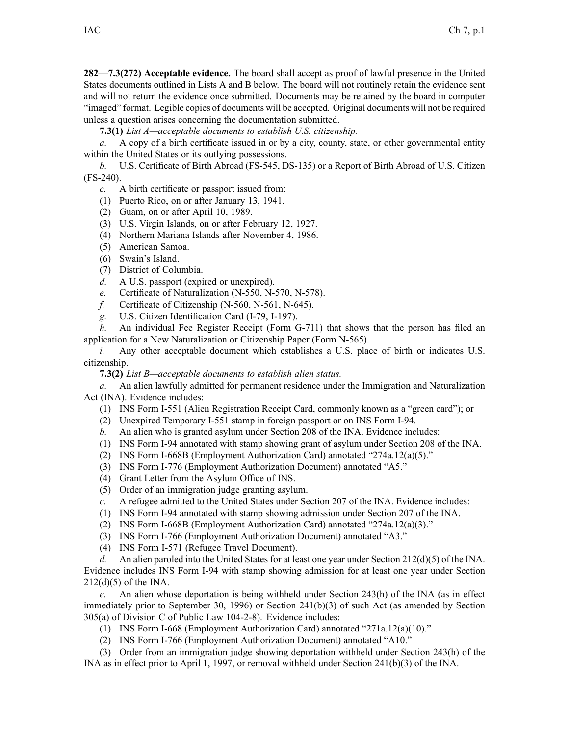**282—7.3(272) Acceptable evidence.** The board shall accep<sup>t</sup> as proof of lawful presence in the United States documents outlined in Lists A and B below. The board will not routinely retain the evidence sent and will not return the evidence once submitted. Documents may be retained by the board in computer "imaged" format. Legible copies of documents will be accepted. Original documents will not be required unless <sup>a</sup> question arises concerning the documentation submitted.

**7.3(1)** *List A—acceptable documents to establish U.S. citizenship.*

*a.* A copy of <sup>a</sup> birth certificate issued in or by <sup>a</sup> city, county, state, or other governmental entity within the United States or its outlying possessions.

*b.* U.S. Certificate of Birth Abroad (FS-545, DS-135) or <sup>a</sup> Report of Birth Abroad of U.S. Citizen (FS-240).

*c.* A birth certificate or passpor<sup>t</sup> issued from:

- (1) Puerto Rico, on or after January 13, 1941.
- (2) Guam, on or after April 10, 1989.
- (3) U.S. Virgin Islands, on or after February 12, 1927.
- (4) Northern Mariana Islands after November 4, 1986.
- (5) American Samoa.
- (6) Swain's Island.
- (7) District of Columbia.
- *d.* A U.S. passpor<sup>t</sup> (expired or unexpired).
- *e.* Certificate of Naturalization (N-550, N-570, N-578).
- *f.* Certificate of Citizenship (N-560, N-561, N-645).
- *g.* U.S. Citizen Identification Card (I-79, I-197).

*h.* An individual Fee Register Receipt (Form G-711) that shows that the person has filed an application for <sup>a</sup> New Naturalization or Citizenship Paper (Form N-565).

*i.* Any other acceptable document which establishes a U.S. place of birth or indicates U.S. citizenship.

**7.3(2)** *List B—acceptable documents to establish alien status.*

*a.* An alien lawfully admitted for permanen<sup>t</sup> residence under the Immigration and Naturalization Act (INA). Evidence includes:

- (1) INS Form I-551 (Alien Registration Receipt Card, commonly known as <sup>a</sup> "green card"); or
- (2) Unexpired Temporary I-551 stamp in foreign passpor<sup>t</sup> or on INS Form I-94.
- *b.* An alien who is granted asylum under Section 208 of the INA. Evidence includes:
- (1) INS Form I-94 annotated with stamp showing gran<sup>t</sup> of asylum under Section 208 of the INA.
- (2) INS Form I-668B (Employment Authorization Card) annotated "274a.12(a)(5)."
- (3) INS Form I-776 (Employment Authorization Document) annotated "A5."
- (4) Grant Letter from the Asylum Office of INS.
- (5) Order of an immigration judge granting asylum.
- *c.* A refugee admitted to the United States under Section 207 of the INA. Evidence includes:
- (1) INS Form I-94 annotated with stamp showing admission under Section 207 of the INA.
- (2) INS Form I-668B (Employment Authorization Card) annotated "274a.12(a)(3)."
- (3) INS Form I-766 (Employment Authorization Document) annotated "A3."
- (4) INS Form I-571 (Refugee Travel Document).

*d.* An alien paroled into the United States for at least one year under Section 212(d)(5) of the INA. Evidence includes INS Form I-94 with stamp showing admission for at least one year under Section 212(d)(5) of the INA.

*e.* An alien whose deportation is being withheld under Section 243(h) of the INA (as in effect immediately prior to September 30, 1996) or Section 241(b)(3) of such Act (as amended by Section 305(a) of Division C of Public Law 104-2-8). Evidence includes:

- (1) INS Form I-668 (Employment Authorization Card) annotated "271a.12(a)(10)."
- (2) INS Form I-766 (Employment Authorization Document) annotated "A10."

(3) Order from an immigration judge showing deportation withheld under Section 243(h) of the INA as in effect prior to April 1, 1997, or removal withheld under Section 241(b)(3) of the INA.